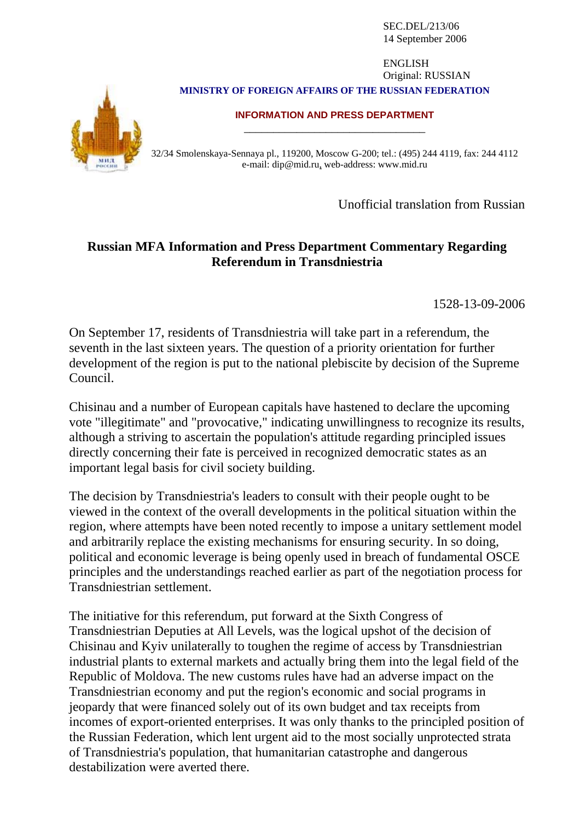SEC.DEL/213/06 14 September 2006

## **MINISTRY OF FOREIGN AFFAIRS OF THE RUSSIAN FEDERATION** ENGLISH Original: RUSSIAN





## **INFORMATION AND PRESS DEPARTMENT** \_\_\_\_\_\_\_\_\_\_\_\_\_\_\_\_\_\_\_\_\_\_\_\_\_\_\_\_\_\_\_

32/34 Smolenskaya-Sennaya pl., 119200, Moscow G-200; tel.: (495) 244 4119, fax: 244 4112 e-mail: dip@mid.ru, web-address: www.mid.ru

Unofficial translation from Russian

## **Russian MFA Information and Press Department Commentary Regarding Referendum in Transdniestria**

1528-13-09-2006

On September 17, residents of Transdniestria will take part in a referendum, the seventh in the last sixteen years. The question of a priority orientation for further development of the region is put to the national plebiscite by decision of the Supreme Council.

Chisinau and a number of European capitals have hastened to declare the upcoming vote "illegitimate" and "provocative," indicating unwillingness to recognize its results, although a striving to ascertain the population's attitude regarding principled issues directly concerning their fate is perceived in recognized democratic states as an important legal basis for civil society building.

The decision by Transdniestria's leaders to consult with their people ought to be viewed in the context of the overall developments in the political situation within the region, where attempts have been noted recently to impose a unitary settlement model and arbitrarily replace the existing mechanisms for ensuring security. In so doing, political and economic leverage is being openly used in breach of fundamental OSCE principles and the understandings reached earlier as part of the negotiation process for Transdniestrian settlement.

The initiative for this referendum, put forward at the Sixth Congress of Transdniestrian Deputies at All Levels, was the logical upshot of the decision of Chisinau and Kyiv unilaterally to toughen the regime of access by Transdniestrian industrial plants to external markets and actually bring them into the legal field of the Republic of Moldova. The new customs rules have had an adverse impact on the Transdniestrian economy and put the region's economic and social programs in jeopardy that were financed solely out of its own budget and tax receipts from incomes of export-oriented enterprises. It was only thanks to the principled position of the Russian Federation, which lent urgent aid to the most socially unprotected strata of Transdniestria's population, that humanitarian catastrophe and dangerous destabilization were averted there.